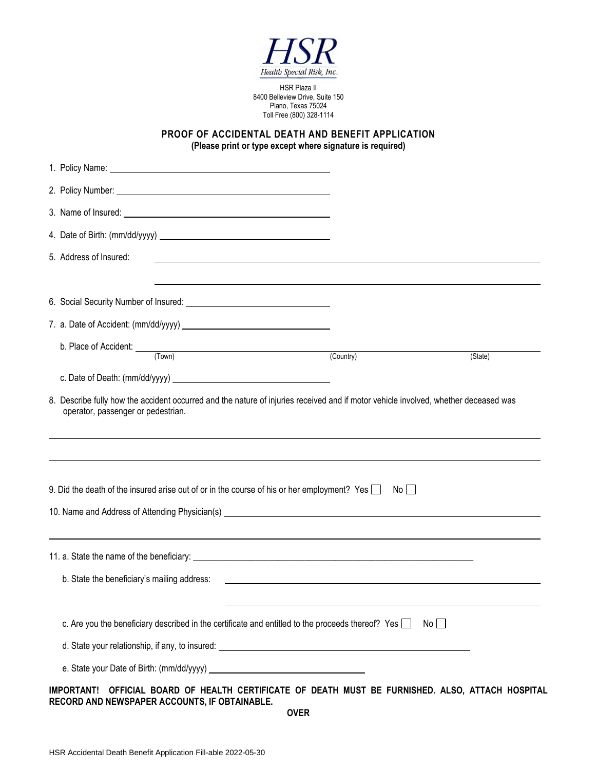

HSR Plaza II 8400 Belleview Drive, Suite 150 Plano, Texas 75024 Toll Free (800) 328-1114

**PROOF OF ACCIDENTAL DEATH AND BENEFIT APPLICATION (Please print or type except where signature is required)** 

| 5. Address of Insured:                                                                                                                                                           | <u> 1989 - Johann Stoff, deutscher Stoffen und der Stoffen und der Stoffen und der Stoffen und der Stoffen und der</u> |         |
|----------------------------------------------------------------------------------------------------------------------------------------------------------------------------------|------------------------------------------------------------------------------------------------------------------------|---------|
|                                                                                                                                                                                  |                                                                                                                        |         |
|                                                                                                                                                                                  |                                                                                                                        |         |
| b. Place of Accident: <u>(Town)</u>                                                                                                                                              |                                                                                                                        |         |
|                                                                                                                                                                                  | (Country)                                                                                                              | (State) |
|                                                                                                                                                                                  |                                                                                                                        |         |
| 9. Did the death of the insured arise out of or in the course of his or her employment? Yes<br>10. Name and Address of Attending Physician(s) __________________________________ | $No$ $\Box$                                                                                                            |         |
|                                                                                                                                                                                  |                                                                                                                        |         |
| b. State the beneficiary's mailing address:                                                                                                                                      |                                                                                                                        |         |
| c. Are you the beneficiary described in the certificate and entitled to the proceeds thereof? Yes                                                                                |                                                                                                                        | $No$    |
|                                                                                                                                                                                  |                                                                                                                        |         |
|                                                                                                                                                                                  |                                                                                                                        |         |
| OFFICIAL BOARD OF HEALTH CERTIFICATE OF DEATH MUST BE FURNISHED. ALSO, ATTACH HOSPITAL<br><b>IMPORTANT!</b><br>RECORD AND NEWSPAPER ACCOUNTS, IF OBTAINABLE.                     |                                                                                                                        |         |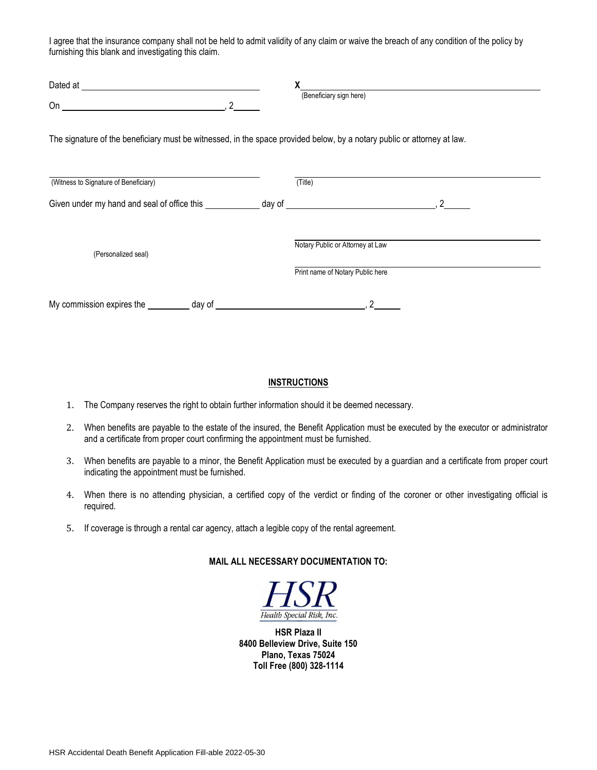I agree that the insurance company shall not be held to admit validity of any claim or waive the breach of any condition of the policy by furnishing this blank and investigating this claim.

| Dated at                                                                                                                                                                                                                                                                                                                                      |                                                                      |
|-----------------------------------------------------------------------------------------------------------------------------------------------------------------------------------------------------------------------------------------------------------------------------------------------------------------------------------------------|----------------------------------------------------------------------|
| On $\qquad \qquad$ $\qquad$ $\qquad$ $\qquad$ $\qquad$ $\qquad$ $\qquad$ $\qquad$ $\qquad$ $\qquad$ $\qquad$ $\qquad$ $\qquad$ $\qquad$ $\qquad$ $\qquad$ $\qquad$ $\qquad$ $\qquad$ $\qquad$ $\qquad$ $\qquad$ $\qquad$ $\qquad$ $\qquad$ $\qquad$ $\qquad$ $\qquad$ $\qquad$ $\qquad$ $\qquad$ $\qquad$ $\qquad$ $\qquad$ $\qquad$ $\qquad$ | (Beneficiary sign here)                                              |
| The signature of the beneficiary must be witnessed, in the space provided below, by a notary public or attorney at law.                                                                                                                                                                                                                       |                                                                      |
| (Witness to Signature of Beneficiary)                                                                                                                                                                                                                                                                                                         | (Title)                                                              |
| Given under my hand and seal of office this day of day of the control of the control of the control of the control of the control of the control of the control of the control of the control of the control of the control of                                                                                                                |                                                                      |
| (Personalized seal)                                                                                                                                                                                                                                                                                                                           | Notary Public or Attorney at Law<br>Print name of Notary Public here |
|                                                                                                                                                                                                                                                                                                                                               |                                                                      |

## **INSTRUCTIONS**

- 1. The Company reserves the right to obtain further information should it be deemed necessary.
- 2. When benefits are payable to the estate of the insured, the Benefit Application must be executed by the executor or administrator and a certificate from proper court confirming the appointment must be furnished.
- 3. When benefits are payable to a minor, the Benefit Application must be executed by a guardian and a certificate from proper court indicating the appointment must be furnished.
- 4. When there is no attending physician, a certified copy of the verdict or finding of the coroner or other investigating official is required.
- 5. If coverage is through a rental car agency, attach a legible copy of the rental agreement.

## **MAIL ALL NECESSARY DOCUMENTATION TO:**



**HSR Plaza II 8400 Belleview Drive, Suite 150 Plano, Texas 75024 Toll Free (800) 328-1114**